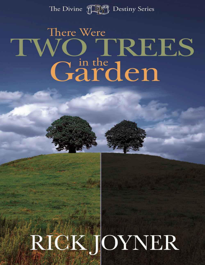

# There Were VO TREES TW Garden

# RICK JOYNER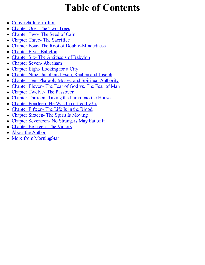# **Table of Contents**

- <span id="page-1-0"></span>• Copyright [Information](#page-2-0)
- [Chapter](#page-5-0) One- The Two Trees
- [Chapter](#page-9-0) Two- The Seed of Cain
- Chapter Three- The [Sacrifice](#page-1-0)
- Chapter Four- The Root of [Double-Mindedness](#page-1-0)
- Chapter Five-[Babylon](#page-1-0)
- Chapter Six- The [Antithesis](#page-1-0) of Babylon
- Chapter Seven- [Abraham](#page-1-0)
- Chapter Eight- [Looking](#page-1-0) for a City
- [Chapter](#page-1-0) Nine- Jacob and Esau, Reuben and Joseph
- Chapter Ten- Pharaoh, Moses, and Spiritual [Authority](#page-1-0)
- Chapter [Eleven-](#page-1-0) The Fear of God vs. The Fear of Man
- Chapter Twelve- The [Passover](#page-1-0)
- Chapter [Thirteen-](#page-1-0) Taking the Lamb Into the House
- Chapter [Fourteen-](#page-1-0) He Was Crucified by Us
- Chapter [Fifteen-](#page-1-0) The Life Is in the Blood
- Chapter [Sixteen-](#page-1-0) The Spirit Is Moving
- Chapter [Seventeen-](#page-1-0) No Strangers May Eat of It
- Chapter [Eighteen-](#page-1-0) The Victory
- About the [Author](#page-1-0)
- More from [MorningStar](#page-1-0)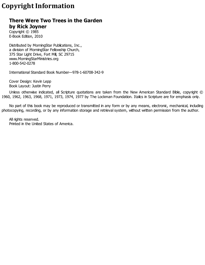## <span id="page-2-0"></span>**Copyright Information**

#### **There Were Two Trees in the Garden by Rick Joyner**

Copyright © 1985 E-Book Edition, 2010

Distributed by MorningStar Publications, Inc., a division of MorningStar Fellowship Church, 375 Star Light Drive, Fort Mill, SC 29715 www.MorningStarMinistries.org 1-800-542-0278

International Standard Book Number—978-1-60708-342-9

Cover Design: Kevin Lepp Book Layout: Justin Perry

Unless otherwise indicated, all Scripture quotations are taken from the New American Standard Bible, copyright © 1960, 1962, 1963, 1968, 1971, 1973, 1974, 1977 by The Lockman Foundation. Italics in Scripture are for emphasis only.

No part of this book may be reproduced or transmitted in any form or by any means, electronic, mechanical, including photocopying, recording, or by any information storage and retrieval system, without written permission from the author.

All rights reserved. Printed in the United States of America.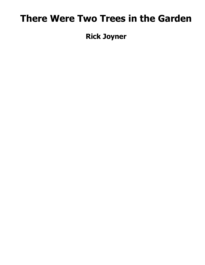## **There Were Two Trees in the Garden**

**Rick Joyner**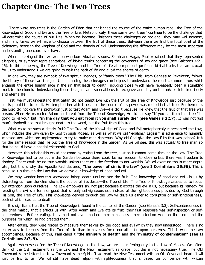## <span id="page-5-0"></span>**Chapter One- The Two Trees**

There were two trees in the Garden of Eden that challenged the course of the entire human race—the Tree of the Knowledge of Good and Evil and the Tree of Life. Metaphorically, these same two "trees" continue to be the challenge that will determine the course of our lives. When we become Christians these challenges do not end—they may well increase, and many times we will have to choose between the fruit of these trees. Between them we find the focal point of the dichotomy between the kingdom of God and the domain of evil. Understanding this difference may be the most important understanding one could ever have.

When speaking of the two women who bore Abraham's sons, Sarah and Hagar, Paul explained that they represented allegories, or symbolic repre-sentations, of biblical truths concerning the covenants of law and grace (see Galatians 4:21- 26). In this same way, the Tree of Knowledge and the Tree of Life also represent profound biblical truths that are crucial for us to understand if we are going to walk the path of life and avoid the snares of death.

In one way, they are symbolic of two spiritual lineages, or "family trees." The Bible, from Genesis to Revelation, follows the history of these two lineages. Understanding these lineages can help us to understand the most common errors which entangle the entire human race in the sin that leads to death, including those which have repeatedly been a stumbling block to the church. Understanding these lineages can also enable us to recognize and stay on the only path to true liberty and eternal life.

First, we must understand that Satan did not tempt Eve with the fruit of the Tree of Knowledge just because of the Lord's prohibition to eat it. He tempted her with it because the source of his power was rooted in that tree. Furthermore, the Lord did not give this prohibition just to test Adam and Eve—He did it because He knew that the fruit of that tree was poison. When He instructed Adam not to eat from the Tree of Knowledge, He did not say "If you eat from that tree I'm going to kill you," but, **"in the day that you eat from it you shall surely die" (see Genesis 2:17).** It was not just man's disobedience that brought death to the world, but the fruit from this tree.

What could be such a deadly fruit? The Tree of the Knowledge of Good and Evil metaphorically represented the Law, which includes the Law given by God through Moses, as well as what we call "legalism." Legalism is adherence to humanly imposed laws which are implemented to try to make men righteous. Why did God give the Law if its fruit was poison? It is for the same reason that He put the Tree of Knowledge in the Garden. As we will see, this was actually to free man so that he could have a special relationship to God.

However, this relationship would not come by eating from the tree, just as it cannot come through the Law. The Tree of Knowledge had to be put in the Garden because there could be no freedom to obey unless there was freedom to disobey. There could be no true worship unless there was the freedom to not worship. We will examine this in more depth later, but this is why the Apostle Paul declared, **"the power of sin is the law" (see I Corinthians 15:56).** This is because it is through the Law that we derive our knowledge of good and evil.

We may wonder how this knowledge brings death until we see the fruit. The knowledge of good and evil kills us by distracting us from the One who is the source of life: Jesus—the Tree of Life. The Tree of Knowledge causes us to focus our attention upon ourselves. The Law empowers sin, not just because it excites the evil in us, but because its remedy for resisting the evil is a form of good that is really self-righteousness instead of the righteousness provided by God through His Son, the Tree of Life. This knowledge derived through the Law will drive us either to corruption or self-righteousness, both of which lead us to death.

It is significant that the Tree of Knowledge is found in the center of the Garden (see Genesis 3:3). Self-centeredness is the chief malady that it afflicts us with. After Adam and Eve ate its fruit, their first response was self-inspection or selfcenteredness. Before eating, they had not even noticed their nakedness—their attention was on the Lord and the purposes for which He had created them.

After eating, they were forced to measure themselves by the good and evil which they now understood. There is no easier way to keep us from the Tree of Life than to have us focus our attention upon ourselves. This is what the Law accomplishes. Because of this, Paul called it **"the ministry of death"** and the **"ministry of condemnation" (see II Corinthians 3:7, 9).**

Again, when we define the Tree of Knowledge as the Law, we are not referring only to the Law of Moses. We often think of the Old Testament as the Law and the New Testament as grace, but this is not necessarily true. The Old Covenant is the letter; the New Covenant is the Spirit. If we read the New Testament with an Old Covenant heart, it will just be law to us. We will still have dead religion with righteousness that is based on compliance with written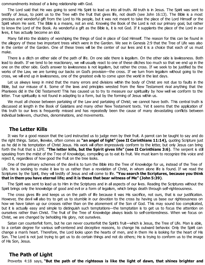commandments instead of a living relationship with God.

The Lord said that He was going to send His Spirit to lead us into all truth. All truth is in Jesus. The Spirit was sent to testify of Jesus, to point us to the Tree with the fruit that gives life, not death (see John 16:13). The Bible is a most precious and wonderful gift from the Lord to His people, but it was not meant to take the place of the Lord Himself or the Spirit whom He sent. The Bible is a means, not an end. Knowing the Book of the Lord is not our primary goal, but rather to know the Lord of the Book. As wonderful a gift as the Bible is, it is not God. If it supplants the place of the Lord in our lives, it has actually become an idol.

Many fall into the idolatry of worshiping the things of God in place of God Himself. The reason for this can be found in the allegory of these two important trees which were in the Garden. We see in Genesis 2:9 that the Tree of Life was also in the center of the Garden. One of these trees will be the center of our lives and it is a choice that each of us must make.

There is a ditch on either side of the path of life. On one side there is legalism. On the other side is lawlessness. Both lead to death. If we tend to be reactionary, we will usually react to one of these ditches too much so that we end up in the one on the other side. God's answer to lawlessness is not legalism, but rather the cross. If we seek to be justified by the works of the Law, we are turning our backs on God's provision—the cross. If we turn from legalism without going to the cross, we will end up in lawlessness, one of the greatest evils to come upon the world in the last days.

Let us always keep in mind that the many errors and divisions within the body of Christ are not due to faults in the Bible, but our misuse of it. Some of the laws and principles wrested from the New Testament rival anything that the Pharisees did in the Old Testament! This has caused us to try to measure our spirituality by how well we conform to the letter. True spirituality is not found in adapting to a form, but by the forming of Jesus within us.

We must all choose between partaking of the Law and partaking of Christ; we cannot have both. This central truth is discussed at length in the Book of Galatians and many other New Testament texts. Yet it seems that the application of this truth to our lives is frequently missed and has repeatedly been the cause of many devastating conflicts between individual believers, churches, denominations, and movements.

#### **The Letter Kills**

It was for a good reason that the Lord instructed us to judge men by their fruit. A parrot can be taught to say and do the right things. Satan, likewise, often comes as **"an angel of light" (see II Corinthians 11:14),** quoting Scripture just as he did in his temptation of Christ Jesus. His work will often impressively conform to the letter, but only Jesus can bring forth the fruit that is LIFE. **"The letter kills, but the Spirit gives life" (see II Corinthians 3:6)**. The serpent is still speaking from the midst of the Tree of Knowledge, compelling us to eat its fruit. We must learn to recognize this voice and reject it, regardless of how good the fruit on the tree looks.

One of the primary schemes of the devil is to turn the Bible into the Tree of Knowledge for us, instead of the Tree of Life. He is seeking to make it law to us rather than a revelation of Christ, in whom alone life is found. If we read the Scriptures by the Spirit, they will testify of Jesus and will come to life. **"You search the Scriptures, because you think that in them you have eternal life; and it is these that bear witness of Me" (John 5:39)**.

The Spirit was sent to lead us to Him in the Scriptures and in all aspects of our lives. Reading the Scriptures without the Spirit brings only the knowledge of good and evil or a form of legalism, which brings death through self-righteousness.

The cross gives life and keeps us on the path of life because it was His sacrifice, not ours, that is our justification. However, the devil will also try to get us to stumble in our devotion to the cross by having us base our righteousness on how we have taken up our crosses rather than on the atonement of the Son of God. This may sound too complicated, but it is actually easy and simple to distinguish such temptations—the temptation is to get us to focus the attention on ourselves rather than Christ. The fruit of the Tree of Knowledge always leads to self-centeredness. When we focus on Christ, we are changed by beholding His glory, not ourselves.

Satan can counterfeit form, but he can never counterfeit the Spirit's fruit—which is Jesus, the Tree of Life. Man is able, to a certain degree for various self-centered and deceptive reasons, to change his outward behavior. Only the Spirit can change a man's heart. Therefore, the Lord looks upon the hearts of men, and in them He is looking for the heart of His Son. The Lord is not just trying to get us to do certain things and not do others; He is trying to conform us to the image of His Son, Jesus.

#### **The Path of Light**

Proverbs 4:18 says, **"But the path of the righteous is like the light of dawn, that shines brighter and**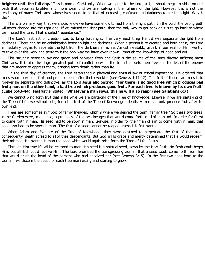**brighter until the full day."** This is normal Christianity. When we come to the Lord, a light should begin to shine on our path that becomes brighter and more clear until we are walking in the fullness of the light. However, this is not the testimony of many Christians, whose lives seem to be that of increasing confusion and darkness rather than light. Why is this?

This is a primary way that we should know we have somehow turned from the right path. In the Lord, the wrong path will never change into the right one. If we missed the right path, then the only way to get back on it is to go back to where we missed the turn. That is called "repentance."

The Lord's first act of creation was to bring forth light. The very next thing He did was separate the light from darkness. There can be no cohabitation between light and darkness. When a person is re-created and born again, the Lord immediately begins to separate the light from the darkness in his life. Almost inevitably, usually in our zeal for Him, we try to take over this work and perform it the only way we have ever known—through the knowledge of good and evil.

This struggle between law and grace and between flesh and Spirit is the source of the inner discord afflicting most Christians. It is also the single greatest point of conflict between the truth that sets men free and the lies of the enemy that are meant to oppress them, bringing forth death rather than life.

On the third day of creation, the Lord established a physical and spiritual law of critical importance. He ordered that trees would only bear fruit and produce seed after their own kind (see Genesis 1:11-12). The fruit of these two trees is to forever be separate and distinctive, as the Lord Jesus also testified: **"For there is no good tree which produces bad** fruit; nor, on the other hand, a bad tree which produces good fruit. For each tree is known by its own fruit" **(Luke 6:43-44)**. Paul further stated, **"Whatever a man sows, this he will also reap" (see Galatians 6:7)**.

We cannot bring forth fruit that is life while we are partaking of the Tree of Knowledge. Likewise, if we are partaking of the Tree of Life, we will not bring forth the fruit of the Tree of Knowledge—death. A tree can only produce fruit after its own kind.

Trees are sometimes symbolic of family lineages, which is where we derived the term "family tree." So these two trees in the Garden were, in a sense, a prophecy of the two lineages that would come forth in all of mankind. In order for Christ to come forth in man, His seed had to be sown in man. Likewise, in order for the "man of sin" to come forth in man, that seed also had to be sown in man. The fruit of a seed cannot be reaped unless it is first planted.

When Adam and Eve ate of the Tree of Knowledge, they were destined to perpetuate the fruit of that tree; consequently, death spread to all of their descendants. But God in His grace and mercy determined that He would redeem their mistake. He planted in man the seed which would again bring forth the Tree of Life—Jesus.

Through Him true life will be restored to man. His seed is a spiritual seed, sown by the Holy Spirit. No flesh could beget Him, but all flesh could receive Him. The Lord promised the transgressing woman that a seed would come forth from her that would crush the head of the serpent who had deceived her (see Genesis 3:15). In the first two sons born to the woman, we discern the seeds of each tree manifesting and starting to grow.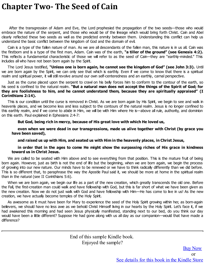## <span id="page-9-0"></span>**Chapter Two- The Seed of Cain**

After the transgression of Adam and Eve, the Lord prophesied the propagation of the two seeds—those who would embrace the nature of the serpent, and those who would be of the lineage which would bring forth Christ. Cain and Abel clearly reflected these two seeds as well as the predicted enmity between them. Understanding this conflict can help us understand the basic conflict between the kingdom of God and the domain of evil.

Cain is a type of the fallen nature of man. As we are all descendants of the fallen man, this nature is in us all. Cain was the firstborn and is a type of the first man, Adam. Cain was of the earth, **"a tiller of the ground" (see Genesis 4:2).** This reflects a fundamental characteristic of those we will refer to as the seed of Cain—they are "earthly-minded." This includes all who have not been born again by the Spirit.

The Lord Jesus testified, **"Unless one is born again, he cannot see the kingdom of God" (see John 3:3).** Until we are born again by the Spirit, we can only see that which is earthly. Even if we come to know that there is a spiritual realm and spiritual power, it will still revolve around our own self-centeredness and an earthly, carnal perspective.

Just as the curse placed upon the serpent to crawl on his belly forces him to conform to the contour of the earth, so his seed is confined to the natural realm. **"But a natural man does not accept the things of the Spirit of God; for they are foolishness to him, and he cannot understand them, because they are spiritually appraised" (I Corinthians 2:14).**

This is our condition until the curse is removed in Christ. As we are born again by His Spirit, we begin to see and walk in heavenly places, and we become less and less subject to the contours of the natural realm. Jesus is no longer confined to this earthly realm, and if we come to abide in Him, we will be with Him where He is—above all rule, authority, and dominion on this earth. Paul explained in Ephesians 2:4-7:

#### **But God, being rich in mercy, because of His great love with which He loved us,**

**even when we were dead in our transgressions, made us alive together with Christ (by grace you have been saved),**

#### **and raised us up with Him, and seated us with Him in the heavenly places, in Christ Jesus,**

#### in order that in the ages to come He might show the surpassing riches of His grace in kindness **toward us in Christ Jesus.**

We are called to be seated with Him above and to see everything from that position. This is the mature fruit of being born again. However, just as birth is not the end of life but the beginning, when we are born again, we begin the process of growing into our new nature. Our minds have to be renewed or we have to think radically differently than we did before. This is so different that, to paraphrase the way the Apostle Paul said it, we should be more at home in the spiritual realm than in the natural (see II Corinthians 5:6).

When we are born again, we begin our life as a part of the new creation, which greatly transcends the old one. Before the Fall, the first-creation man could walk and have fellowship with God, but this is far short of what we have been given as the new creation. Now we do not just walk with God and have fellowship with Him—He has come to live in us! As the new creation, we have actually become temples of the Holy Spirit.

As awesome as it must have been for Mary to experience the seed of the Holy Spirit growing within her, as born-again believers, we should have no less awe as we behold Christ Himself living in our hearts by the Holy Spirit. Let's face it, if we had awakened this morning and had seen Jesus physically manifested, standing next to our bed, do you think our day would have been a little different? Suppose He had gone along with us all day as our companion—would that have made a difference?

> End of this sample Kindle book. Enjoyed the sample?

> > Buy [Now](https://www.amazon.com/gp/g7g/fws/anchor/buyEbook.xml?asin=XXXXXXXXXX) or See details for this book in the [Kindle](https://www.amazon.com/gp/g7g/fws/anchor/detailPageEbook.xml?asin=XXXXXXXXXX) Store